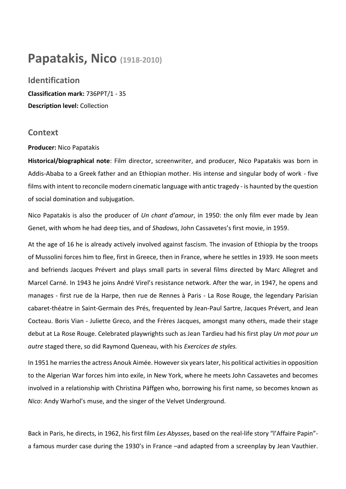# **Papatakis, Nico (1918-2010)**

## **Identification**

**Classification mark:** 736PPT/1 - 35 **Description level:** Collection

### **Context**

#### **Producer:** Nico Papatakis

**Historical/biographical note**: Film director, screenwriter, and producer, Nico Papatakis was born in Addis-Ababa to a Greek father and an Ethiopian mother. His intense and singular body of work - five films with intent to reconcile modern cinematic language with antic tragedy - is haunted by the question of social domination and subjugation.

Nico Papatakis is also the producer of *Un chant d'amour*, in 1950: the only film ever made by Jean Genet, with whom he had deep ties, and of *Shadows*, John Cassavetes's first movie, in 1959.

At the age of 16 he is already actively involved against fascism. The invasion of Ethiopia by the troops of Mussolini forces him to flee, first in Greece, then in France, where he settles in 1939. He soon meets and befriends Jacques Prévert and plays small parts in several films directed by Marc Allegret and Marcel Carné. In 1943 he joins André Virel's resistance network. After the war, in 1947, he opens and manages - first rue de la Harpe, then rue de Rennes à Paris - La Rose Rouge, the legendary Parisian cabaret-théatre in Saint-Germain des Prés, frequented by Jean-Paul Sartre, Jacques Prévert, and Jean Cocteau. Boris Vian - Juliette Greco, and the Frères Jacques, amongst many others, made their stage debut at La Rose Rouge. Celebrated playwrights such as Jean Tardieu had his first play *Un mot pour un autre* staged there, so did Raymond Queneau, with his *Exercices de styles.*

In 1951 he marries the actress Anouk Aimée. However six years later, his political activities in opposition to the Algerian War forces him into exile, in New York, where he meets John Cassavetes and becomes involved in a relationship with Christina Päffgen who, borrowing his first name, so becomes known as *Nico*: Andy Warhol's muse, and the singer of the Velvet Underground.

Back in Paris, he directs, in 1962, his first film *Les Abysses*, based on the real-life story "l'Affaire Papin" a famous murder case during the 1930's in France –and adapted from a screenplay by Jean Vauthier.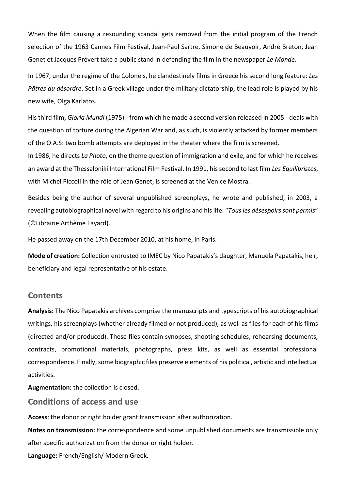When the film causing a resounding scandal gets removed from the initial program of the French selection of the 1963 Cannes Film Festival, Jean-Paul Sartre, Simone de Beauvoir, André Breton, Jean Genet et Jacques Prévert take a public stand in defending the film in the newspaper *Le Monde*.

In 1967, under the regime of the Colonels, he clandestinely films in Greece his second long feature: *Les Pâtres du désordre*. Set in a Greek village under the military dictatorship, the lead role is played by his new wife, Olga Karlatos.

His third film, *Gloria Mundi* (1975) - from which he made a second version released in 2005 - deals with the question of torture during the Algerian War and, as such, is violently attacked by former members of the O.A.S: two bomb attempts are deployed in the theater where the film is screened.

In 1986, he directs *La Photo*, on the theme question of immigration and exile, and for which he receives an award at the Thessaloniki International Film Festival. In 1991, his second to last film *Les Equilibristes*, with Michel Piccoli in the rôle of Jean Genet, is screened at the Venice Mostra.

Besides being the author of several unpublished screenplays, he wrote and published, in 2003, a revealing autobiographical novel with regard to his origins and his life: "*Tous les désespoirs sont permis*" (©Librairie Arthème Fayard).

He passed away on the 17th December 2010, at his home, in Paris.

**Mode of creation:** Collection entrusted to IMEC by Nico Papatakis's daughter, Manuela Papatakis, heir, beneficiary and legal representative of his estate.

#### **Contents**

**Analysis:** The Nico Papatakis archives comprise the manuscripts and typescripts of his autobiographical writings, his screenplays (whether already filmed or not produced), as well as files for each of his films (directed and/or produced). These files contain synopses, shooting schedules, rehearsing documents, contracts, promotional materials, photographs, press kits, as well as essential professional correspondence. Finally, some biographic files preserve elements of his political, artistic and intellectual activities.

**Augmentation:** the collection is closed.

**Conditions of access and use** 

**Access**: the donor or right holder grant transmission after authorization.

**Notes on transmission:** the correspondence and some unpublished documents are transmissible only after specific authorization from the donor or right holder.

**Language:** French/English/ Modern Greek.